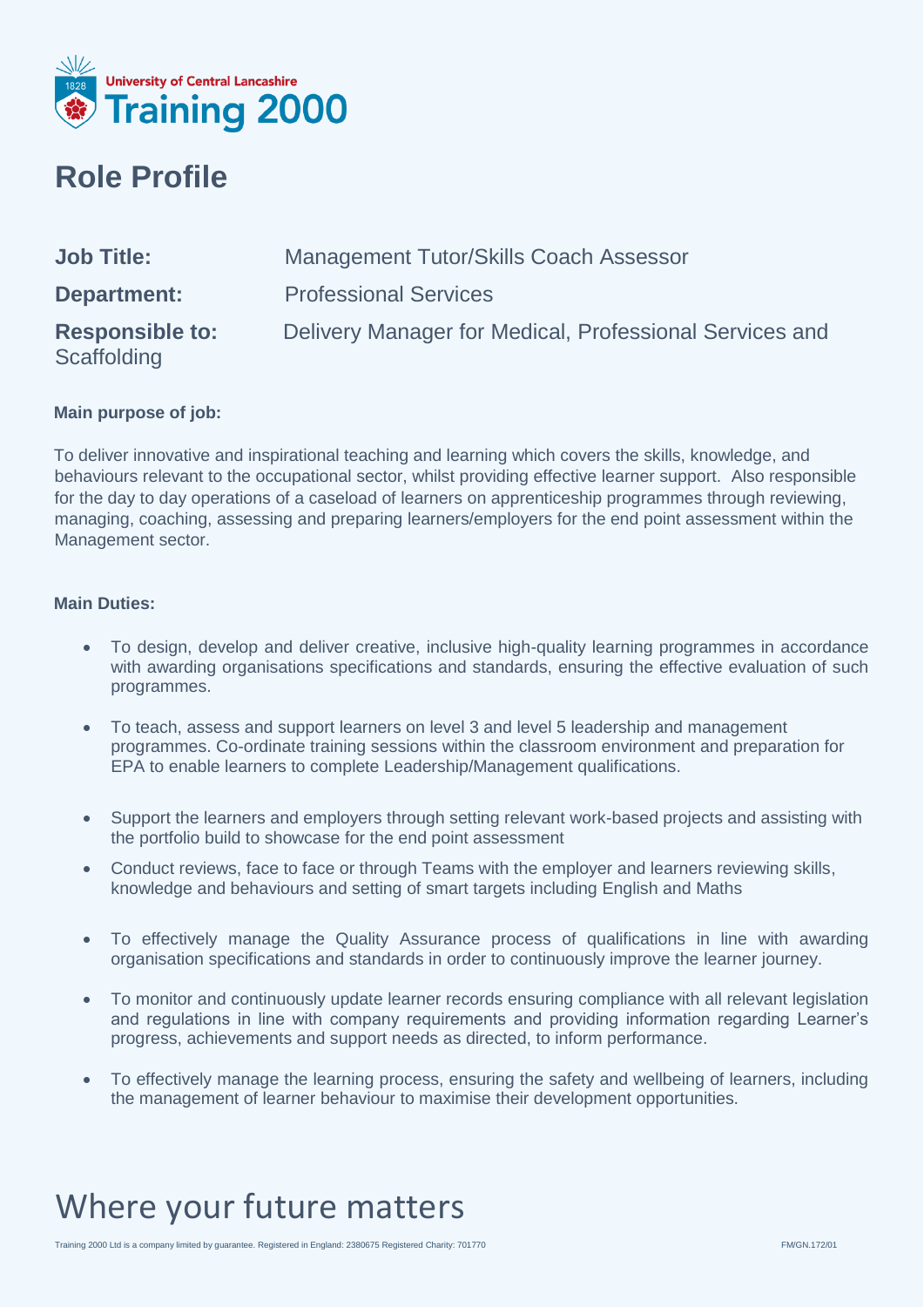

#### **Role Profile**

| <b>Job Title:</b>                     | <b>Management Tutor/Skills Coach Assessor</b>           |
|---------------------------------------|---------------------------------------------------------|
| <b>Department:</b>                    | <b>Professional Services</b>                            |
| <b>Responsible to:</b><br>Scaffolding | Delivery Manager for Medical, Professional Services and |

#### **Main purpose of job:**

To deliver innovative and inspirational teaching and learning which covers the skills, knowledge, and behaviours relevant to the occupational sector, whilst providing effective learner support. Also responsible for the day to day operations of a caseload of learners on apprenticeship programmes through reviewing, managing, coaching, assessing and preparing learners/employers for the end point assessment within the Management sector.

#### **Main Duties:**

- To design, develop and deliver creative, inclusive high-quality learning programmes in accordance with awarding organisations specifications and standards, ensuring the effective evaluation of such programmes.
- To teach, assess and support learners on level 3 and level 5 leadership and management programmes. Co-ordinate training sessions within the classroom environment and preparation for EPA to enable learners to complete Leadership/Management qualifications.
- Support the learners and employers through setting relevant work-based projects and assisting with the portfolio build to showcase for the end point assessment
- Conduct reviews, face to face or through Teams with the employer and learners reviewing skills, knowledge and behaviours and setting of smart targets including English and Maths
- To effectively manage the Quality Assurance process of qualifications in line with awarding organisation specifications and standards in order to continuously improve the learner journey.
- To monitor and continuously update learner records ensuring compliance with all relevant legislation and regulations in line with company requirements and providing information regarding Learner's progress, achievements and support needs as directed, to inform performance.
- To effectively manage the learning process, ensuring the safety and wellbeing of learners, including the management of learner behaviour to maximise their development opportunities.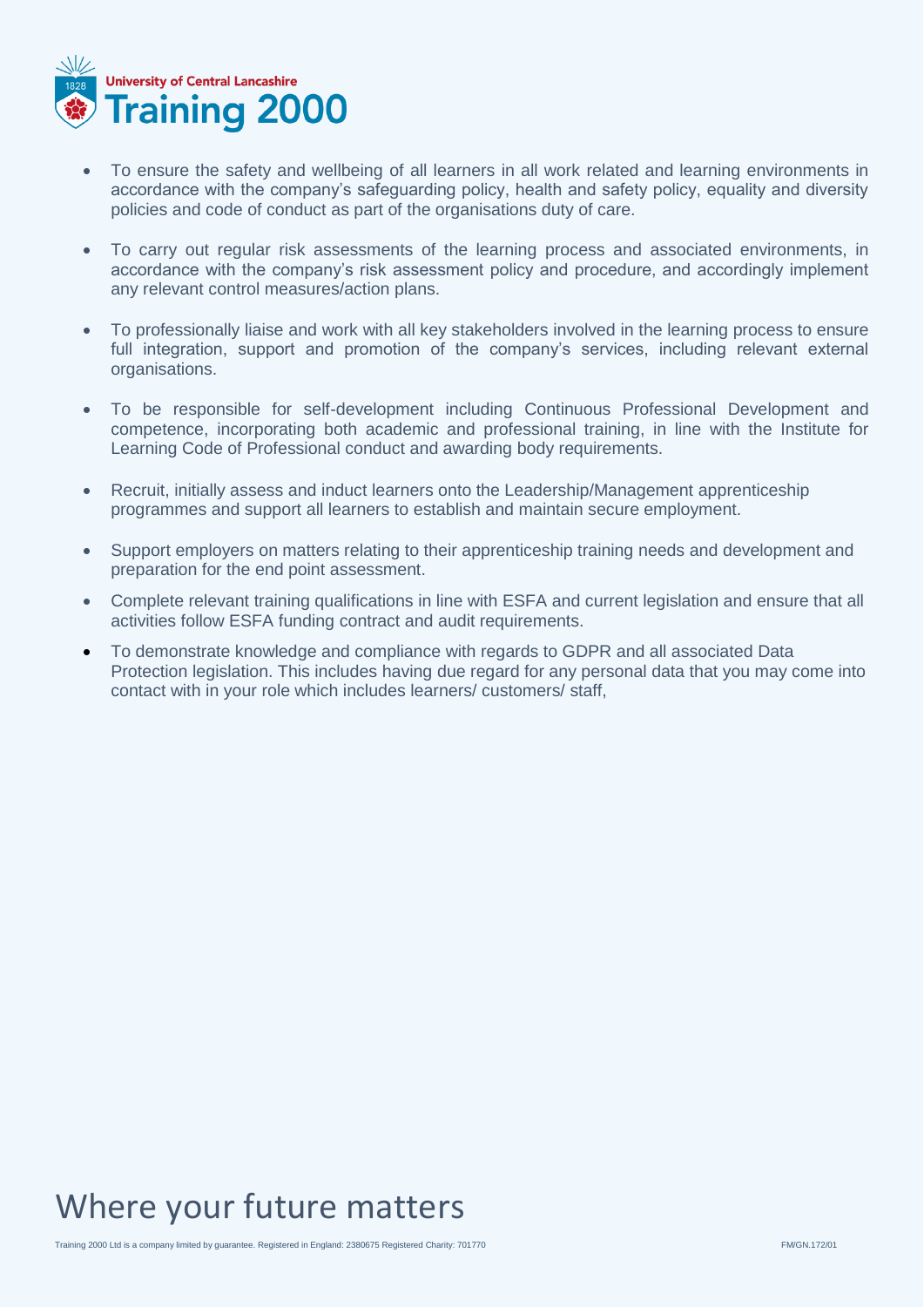

- To ensure the safety and wellbeing of all learners in all work related and learning environments in accordance with the company's safeguarding policy, health and safety policy, equality and diversity policies and code of conduct as part of the organisations duty of care.
- To carry out regular risk assessments of the learning process and associated environments, in accordance with the company's risk assessment policy and procedure, and accordingly implement any relevant control measures/action plans.
- To professionally liaise and work with all key stakeholders involved in the learning process to ensure full integration, support and promotion of the company's services, including relevant external organisations.
- To be responsible for self-development including Continuous Professional Development and competence, incorporating both academic and professional training, in line with the Institute for Learning Code of Professional conduct and awarding body requirements.
- Recruit, initially assess and induct learners onto the Leadership/Management apprenticeship programmes and support all learners to establish and maintain secure employment.
- Support employers on matters relating to their apprenticeship training needs and development and preparation for the end point assessment.
- Complete relevant training qualifications in line with ESFA and current legislation and ensure that all activities follow ESFA funding contract and audit requirements.
- To demonstrate knowledge and compliance with regards to GDPR and all associated Data Protection legislation. This includes having due regard for any personal data that you may come into contact with in your role which includes learners/ customers/ staff,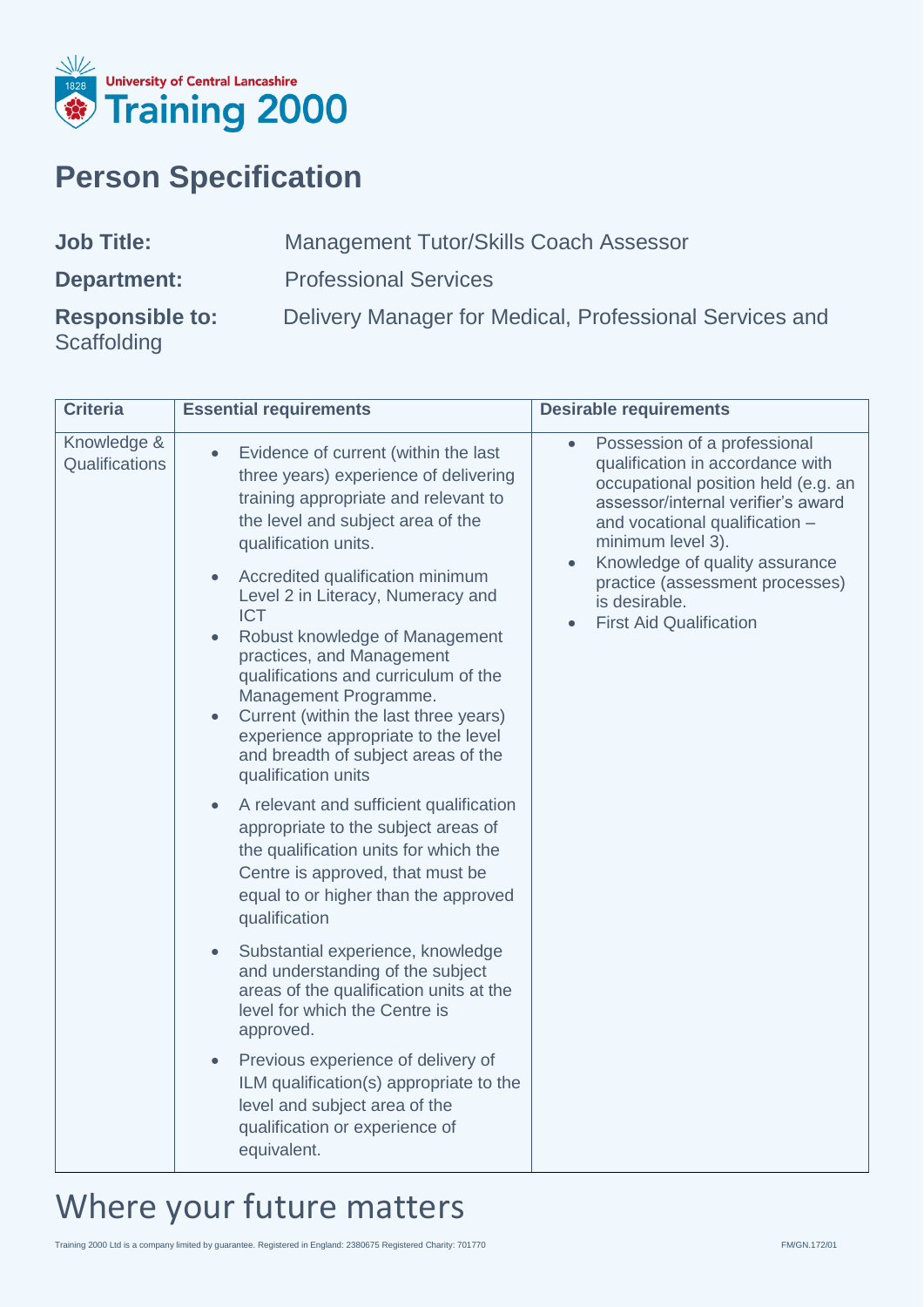

### **Person Specification**

**Scaffolding** 

Management Tutor/Skills Coach Assessor **Department:** Professional Services

**Responsible to:** Delivery Manager for Medical, Professional Services and

| Criteria                      | <b>Essential requirements</b>                                                                                                                                                                                                                                                                                                                                                                                                                                                                                                                                                                                                                                                                                                                                                                                                                                                                                                                                                                                                                                                                                                     | <b>Desirable requirements</b>                                                                                                                                                                                                                                                                                                |
|-------------------------------|-----------------------------------------------------------------------------------------------------------------------------------------------------------------------------------------------------------------------------------------------------------------------------------------------------------------------------------------------------------------------------------------------------------------------------------------------------------------------------------------------------------------------------------------------------------------------------------------------------------------------------------------------------------------------------------------------------------------------------------------------------------------------------------------------------------------------------------------------------------------------------------------------------------------------------------------------------------------------------------------------------------------------------------------------------------------------------------------------------------------------------------|------------------------------------------------------------------------------------------------------------------------------------------------------------------------------------------------------------------------------------------------------------------------------------------------------------------------------|
| Knowledge &<br>Qualifications | Evidence of current (within the last<br>three years) experience of delivering<br>training appropriate and relevant to<br>the level and subject area of the<br>qualification units.<br>Accredited qualification minimum<br>Level 2 in Literacy, Numeracy and<br><b>ICT</b><br>Robust knowledge of Management<br>practices, and Management<br>qualifications and curriculum of the<br>Management Programme.<br>Current (within the last three years)<br>experience appropriate to the level<br>and breadth of subject areas of the<br>qualification units<br>A relevant and sufficient qualification<br>appropriate to the subject areas of<br>the qualification units for which the<br>Centre is approved, that must be<br>equal to or higher than the approved<br>qualification<br>Substantial experience, knowledge<br>$\bullet$<br>and understanding of the subject<br>areas of the qualification units at the<br>level for which the Centre is<br>approved.<br>Previous experience of delivery of<br>ILM qualification(s) appropriate to the<br>level and subject area of the<br>qualification or experience of<br>equivalent. | Possession of a professional<br>qualification in accordance with<br>occupational position held (e.g. an<br>assessor/internal verifier's award<br>and vocational qualification -<br>minimum level 3).<br>Knowledge of quality assurance<br>practice (assessment processes)<br>is desirable.<br><b>First Aid Qualification</b> |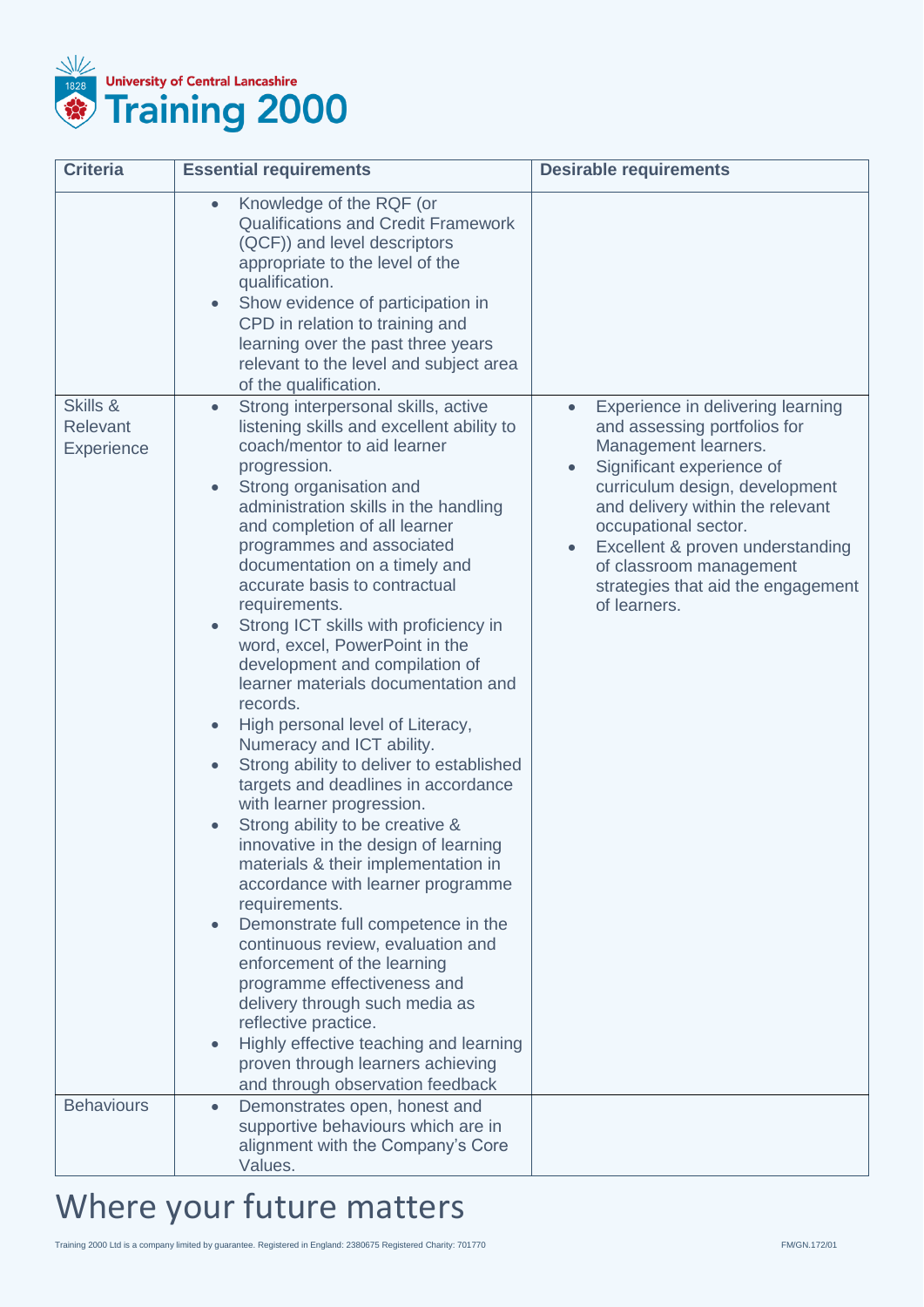

| <b>Criteria</b>                           | <b>Essential requirements</b>                                                                                                                                                                                                                                                                                                                                                                                                                                                                                                                                                                                                                                                                                                                                                                                                                                                                                                                                                                                                                                                                                                                                                                                                                           | <b>Desirable requirements</b>                                                                                                                                                                                                                                                                                                                                       |
|-------------------------------------------|---------------------------------------------------------------------------------------------------------------------------------------------------------------------------------------------------------------------------------------------------------------------------------------------------------------------------------------------------------------------------------------------------------------------------------------------------------------------------------------------------------------------------------------------------------------------------------------------------------------------------------------------------------------------------------------------------------------------------------------------------------------------------------------------------------------------------------------------------------------------------------------------------------------------------------------------------------------------------------------------------------------------------------------------------------------------------------------------------------------------------------------------------------------------------------------------------------------------------------------------------------|---------------------------------------------------------------------------------------------------------------------------------------------------------------------------------------------------------------------------------------------------------------------------------------------------------------------------------------------------------------------|
|                                           | Knowledge of the RQF (or<br>$\bullet$<br><b>Qualifications and Credit Framework</b><br>(QCF)) and level descriptors<br>appropriate to the level of the<br>qualification.<br>Show evidence of participation in<br>CPD in relation to training and<br>learning over the past three years<br>relevant to the level and subject area<br>of the qualification.                                                                                                                                                                                                                                                                                                                                                                                                                                                                                                                                                                                                                                                                                                                                                                                                                                                                                               |                                                                                                                                                                                                                                                                                                                                                                     |
| Skills &<br>Relevant<br><b>Experience</b> | Strong interpersonal skills, active<br>$\bullet$<br>listening skills and excellent ability to<br>coach/mentor to aid learner<br>progression.<br>Strong organisation and<br>$\bullet$<br>administration skills in the handling<br>and completion of all learner<br>programmes and associated<br>documentation on a timely and<br>accurate basis to contractual<br>requirements.<br>Strong ICT skills with proficiency in<br>word, excel, PowerPoint in the<br>development and compilation of<br>learner materials documentation and<br>records.<br>High personal level of Literacy,<br>$\bullet$<br>Numeracy and ICT ability.<br>Strong ability to deliver to established<br>targets and deadlines in accordance<br>with learner progression.<br>Strong ability to be creative &<br>innovative in the design of learning<br>materials & their implementation in<br>accordance with learner programme<br>requirements.<br>Demonstrate full competence in the<br>$\bullet$<br>continuous review, evaluation and<br>enforcement of the learning<br>programme effectiveness and<br>delivery through such media as<br>reflective practice.<br>Highly effective teaching and learning<br>proven through learners achieving<br>and through observation feedback | Experience in delivering learning<br>and assessing portfolios for<br>Management learners.<br>Significant experience of<br>$\bullet$<br>curriculum design, development<br>and delivery within the relevant<br>occupational sector.<br>Excellent & proven understanding<br>$\bullet$<br>of classroom management<br>strategies that aid the engagement<br>of learners. |
| <b>Behaviours</b>                         | Demonstrates open, honest and<br>$\bullet$<br>supportive behaviours which are in<br>alignment with the Company's Core<br>Values.                                                                                                                                                                                                                                                                                                                                                                                                                                                                                                                                                                                                                                                                                                                                                                                                                                                                                                                                                                                                                                                                                                                        |                                                                                                                                                                                                                                                                                                                                                                     |